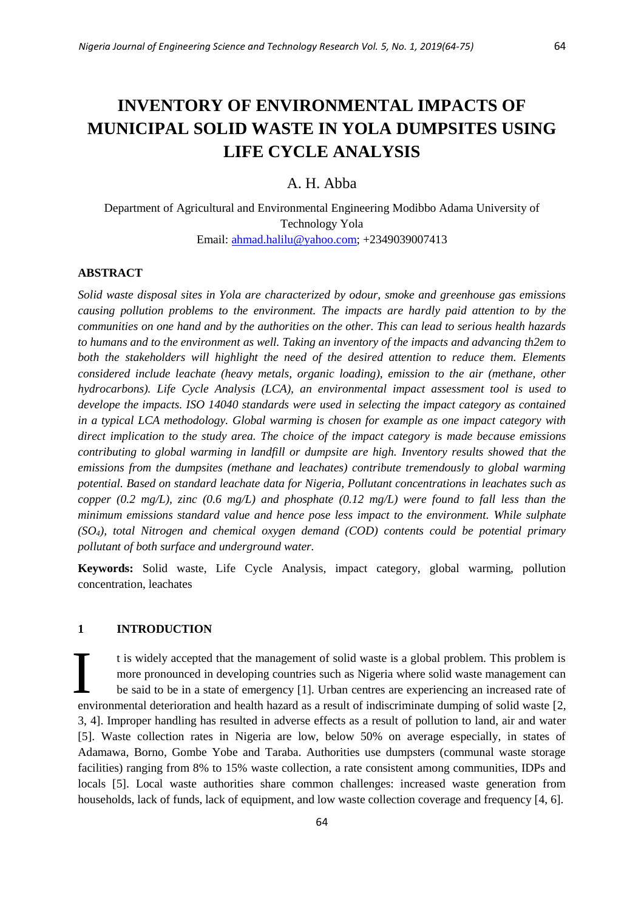# **INVENTORY OF ENVIRONMENTAL IMPACTS OF MUNICIPAL SOLID WASTE IN YOLA DUMPSITES USING LIFE CYCLE ANALYSIS**

## A. H. Abba

Department of Agricultural and Environmental Engineering Modibbo Adama University of Technology Yola Email: [ahmad.halilu@yahoo.com;](mailto:ahmad.halilu@yahoo.com) +2349039007413

#### **ABSTRACT**

*Solid waste disposal sites in Yola are characterized by odour, smoke and greenhouse gas emissions causing pollution problems to the environment. The impacts are hardly paid attention to by the communities on one hand and by the authorities on the other. This can lead to serious health hazards to humans and to the environment as well. Taking an inventory of the impacts and advancing th2em to both the stakeholders will highlight the need of the desired attention to reduce them. Elements considered include leachate (heavy metals, organic loading), emission to the air (methane, other hydrocarbons). Life Cycle Analysis (LCA), an environmental impact assessment tool is used to develope the impacts. ISO 14040 standards were used in selecting the impact category as contained in a typical LCA methodology. Global warming is chosen for example as one impact category with direct implication to the study area. The choice of the impact category is made because emissions contributing to global warming in landfill or dumpsite are high. Inventory results showed that the emissions from the dumpsites (methane and leachates) contribute tremendously to global warming potential. Based on standard leachate data for Nigeria, Pollutant concentrations in leachates such as copper (0.2 mg/L), zinc (0.6 mg/L) and phosphate (0.12 mg/L) were found to fall less than the minimum emissions standard value and hence pose less impact to the environment. While sulphate (SO4), total Nitrogen and chemical oxygen demand (COD) contents could be potential primary pollutant of both surface and underground water.*

**Keywords:** Solid waste, Life Cycle Analysis, impact category, global warming, pollution concentration, leachates

## **1 INTRODUCTION**

t is widely accepted that the management of solid waste is a global problem. This problem is more pronounced in developing countries such as Nigeria where solid waste management can be said to be in a state of emergency [1]. Urban centres are experiencing an increased rate of environmental deterioration and health hazard as a result of indiscriminate dumping of solid waste [2, 3, 4]. Improper handling has resulted in adverse effects as a result of pollution to land, air and water [5]. Waste collection rates in Nigeria are low, below 50% on average especially, in states of Adamawa, Borno, Gombe Yobe and Taraba. Authorities use dumpsters (communal waste storage facilities) ranging from 8% to 15% waste collection, a rate consistent among communities, IDPs and locals [5]. Local waste authorities share common challenges: increased waste generation from households, lack of funds, lack of equipment, and low waste collection coverage and frequency [4, 6]. I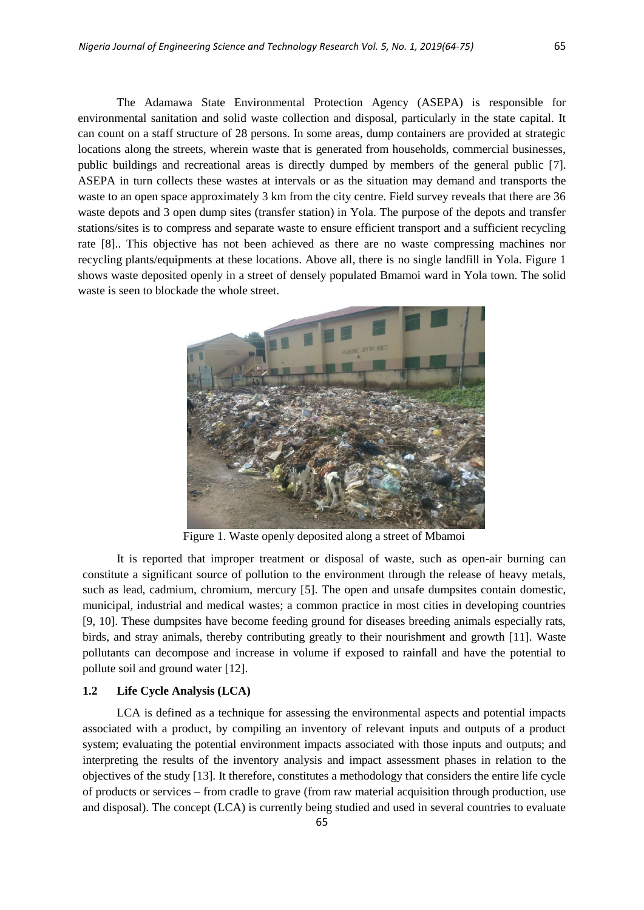The Adamawa State Environmental Protection Agency (ASEPA) is responsible for environmental sanitation and solid waste collection and disposal, particularly in the state capital. It can count on a staff structure of 28 persons. In some areas, dump containers are provided at strategic locations along the streets, wherein waste that is generated from households, commercial businesses, public buildings and recreational areas is directly dumped by members of the general public [7]. ASEPA in turn collects these wastes at intervals or as the situation may demand and transports the waste to an open space approximately 3 km from the city centre. Field survey reveals that there are 36 waste depots and 3 open dump sites (transfer station) in Yola. The purpose of the depots and transfer stations/sites is to compress and separate waste to ensure efficient transport and a sufficient recycling rate [8].. This objective has not been achieved as there are no waste compressing machines nor recycling plants/equipments at these locations. Above all, there is no single landfill in Yola. Figure 1 shows waste deposited openly in a street of densely populated Bmamoi ward in Yola town. The solid waste is seen to blockade the whole street.



Figure 1. Waste openly deposited along a street of Mbamoi

It is reported that improper treatment or disposal of waste, such as open-air burning can constitute a significant source of pollution to the environment through the release of heavy metals, such as lead, cadmium, chromium, mercury [5]. The open and unsafe dumpsites contain domestic, municipal, industrial and medical wastes; a common practice in most cities in developing countries [9, 10]. These dumpsites have become feeding ground for diseases breeding animals especially rats, birds, and stray animals, thereby contributing greatly to their nourishment and growth [11]. Waste pollutants can decompose and increase in volume if exposed to rainfall and have the potential to pollute soil and ground water [12].

## **1.2 Life Cycle Analysis (LCA)**

LCA is defined as a technique for assessing the environmental aspects and potential impacts associated with a product, by compiling an inventory of relevant inputs and outputs of a product system; evaluating the potential environment impacts associated with those inputs and outputs; and interpreting the results of the inventory analysis and impact assessment phases in relation to the objectives of the study [13]. It therefore, constitutes a methodology that considers the entire life cycle of products or services – from cradle to grave (from raw material acquisition through production, use and disposal). The concept (LCA) is currently being studied and used in several countries to evaluate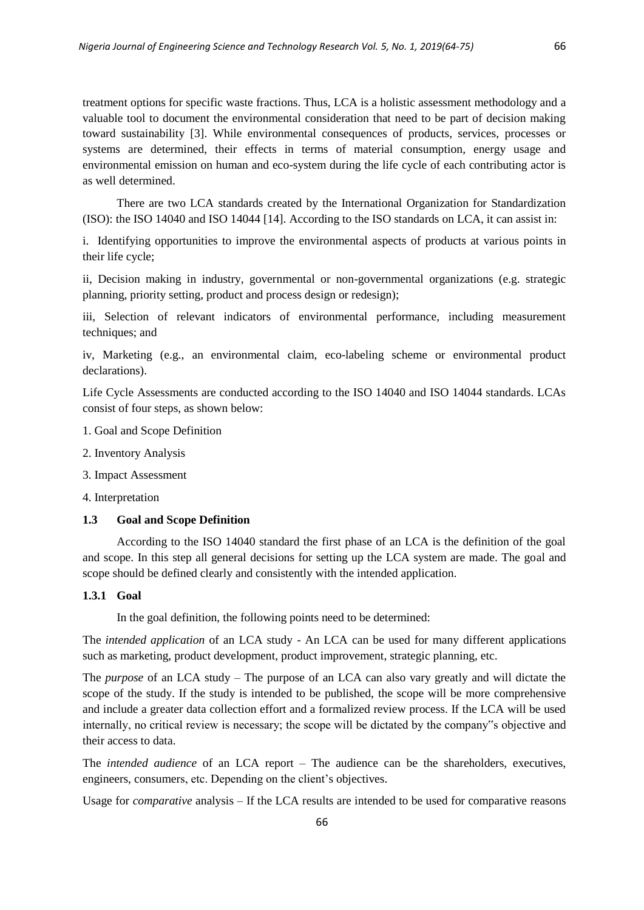treatment options for specific waste fractions. Thus, LCA is a holistic assessment methodology and a valuable tool to document the environmental consideration that need to be part of decision making toward sustainability [3]. While environmental consequences of products, services, processes or systems are determined, their effects in terms of material consumption, energy usage and environmental emission on human and eco-system during the life cycle of each contributing actor is as well determined.

There are two LCA standards created by the International Organization for Standardization (ISO): the ISO 14040 and ISO 14044 [14]. According to the ISO standards on LCA, it can assist in:

i. Identifying opportunities to improve the environmental aspects of products at various points in their life cycle;

ii, Decision making in industry, governmental or non-governmental organizations (e.g. strategic planning, priority setting, product and process design or redesign);

iii, Selection of relevant indicators of environmental performance, including measurement techniques; and

iv, Marketing (e.g., an environmental claim, eco-labeling scheme or environmental product declarations).

Life Cycle Assessments are conducted according to the ISO 14040 and ISO 14044 standards. LCAs consist of four steps, as shown below:

- 1. Goal and Scope Definition
- 2. Inventory Analysis
- 3. Impact Assessment

4. Interpretation

## **1.3 Goal and Scope Definition**

According to the ISO 14040 standard the first phase of an LCA is the definition of the goal and scope. In this step all general decisions for setting up the LCA system are made. The goal and scope should be defined clearly and consistently with the intended application.

#### **1.3.1 Goal**

In the goal definition, the following points need to be determined:

The *intended application* of an LCA study - An LCA can be used for many different applications such as marketing, product development, product improvement, strategic planning, etc.

The *purpose* of an LCA study – The purpose of an LCA can also vary greatly and will dictate the scope of the study. If the study is intended to be published, the scope will be more comprehensive and include a greater data collection effort and a formalized review process. If the LCA will be used internally, no critical review is necessary; the scope will be dictated by the company"s objective and their access to data.

The *intended audience* of an LCA report – The audience can be the shareholders, executives, engineers, consumers, etc. Depending on the client's objectives.

Usage for *comparative* analysis – If the LCA results are intended to be used for comparative reasons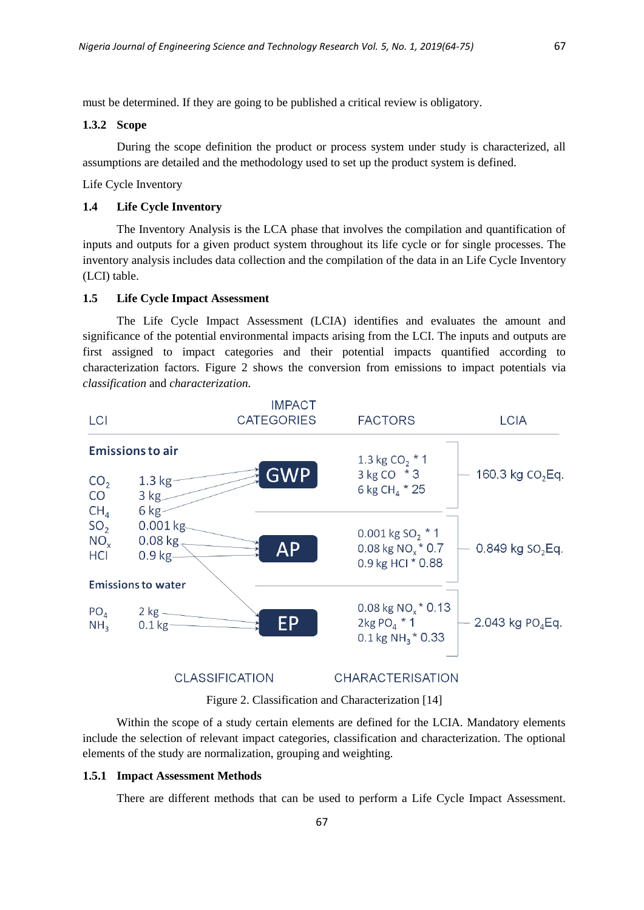must be determined. If they are going to be published a critical review is obligatory.

#### **1.3.2 Scope**

During the scope definition the product or process system under study is characterized, all assumptions are detailed and the methodology used to set up the product system is defined.

Life Cycle Inventory

## **1.4 Life Cycle Inventory**

The Inventory Analysis is the LCA phase that involves the compilation and quantification of inputs and outputs for a given product system throughout its life cycle or for single processes. The inventory analysis includes data collection and the compilation of the data in an Life Cycle Inventory (LCI) table.

#### **1.5 Life Cycle Impact Assessment**

The Life Cycle Impact Assessment (LCIA) identifies and evaluates the amount and significance of the potential environmental impacts arising from the LCI. The inputs and outputs are first assigned to impact categories and their potential impacts quantified according to characterization factors. Figure 2 shows the conversion from emissions to impact potentials via *classification* and *characterization.*



Figure 2. Classification and Characterization [14]

Within the scope of a study certain elements are defined for the LCIA. Mandatory elements include the selection of relevant impact categories, classification and characterization. The optional elements of the study are normalization, grouping and weighting.

#### **1.5.1 Impact Assessment Methods**

There are different methods that can be used to perform a Life Cycle Impact Assessment.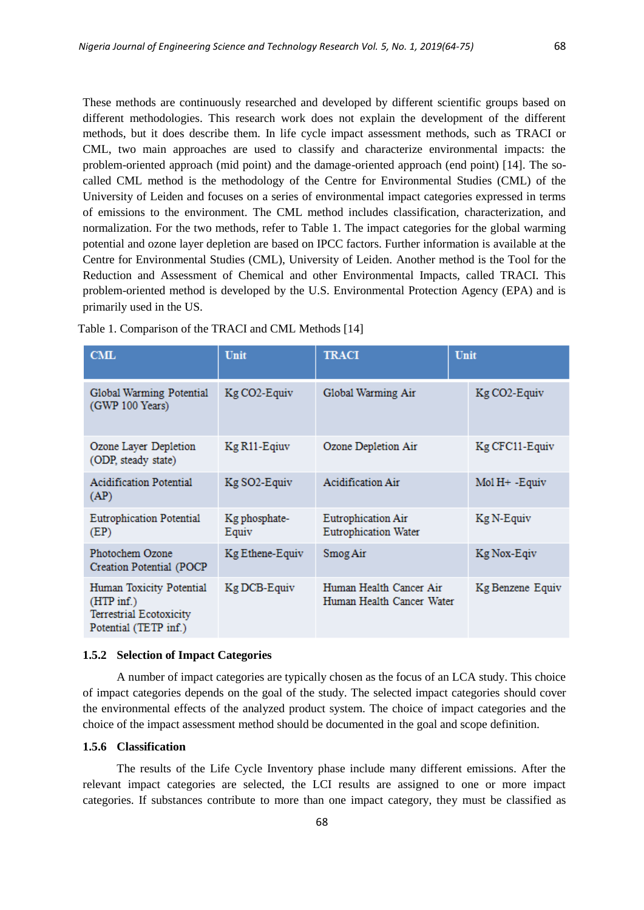These methods are continuously researched and developed by different scientific groups based on different methodologies. This research work does not explain the development of the different methods, but it does describe them. In life cycle impact assessment methods, such as TRACI or CML, two main approaches are used to classify and characterize environmental impacts: the problem-oriented approach (mid point) and the damage-oriented approach (end point) [14]. The socalled CML method is the methodology of the Centre for Environmental Studies (CML) of the University of Leiden and focuses on a series of environmental impact categories expressed in terms of emissions to the environment. The CML method includes classification, characterization, and normalization. For the two methods, refer to Table 1. The impact categories for the global warming potential and ozone layer depletion are based on IPCC factors. Further information is available at the Centre for Environmental Studies (CML), University of Leiden. Another method is the Tool for the Reduction and Assessment of Chemical and other Environmental Impacts, called TRACI. This problem-oriented method is developed by the U.S. Environmental Protection Agency (EPA) and is primarily used in the US.

| CML                                                                                          | Unit                   | <b>TRACI</b>                                         | Unit             |
|----------------------------------------------------------------------------------------------|------------------------|------------------------------------------------------|------------------|
| Global Warming Potential<br>(GWP 100 Years)                                                  | Kg CO2-Equiv           | Global Warming Air                                   | Kg CO2-Equiv     |
| Ozone Layer Depletion<br>(ODP, steady state)                                                 | Kg R11-Eqiuv           | Ozone Depletion Air                                  | Kg CFC11-Equiv   |
| <b>Acidification Potential</b><br>(AP)                                                       | Kg SO2-Equiv           | Acidification Air                                    | $Mol$ H+ -Equiv  |
| <b>Eutrophication Potential</b><br>(EP)                                                      | Kg phosphate-<br>Equiv | <b>Eutrophication Air</b><br>Eutrophication Water    | Kg N-Equiv       |
| Photochem Ozone<br>Creation Potential (POCP)                                                 | Kg Ethene-Equiv        | Smog Air                                             | Kg Nox-Eqiv      |
| Human Toxicity Potential<br>$(HTP\inf.)$<br>Terrestrial Ecotoxicity<br>Potential (TETP inf.) | Kg DCB-Equiv           | Human Health Cancer Air<br>Human Health Cancer Water | Kg Benzene Equiv |

Table 1. Comparison of the TRACI and CML Methods [14]

#### **1.5.2 Selection of Impact Categories**

A number of impact categories are typically chosen as the focus of an LCA study. This choice of impact categories depends on the goal of the study. The selected impact categories should cover the environmental effects of the analyzed product system. The choice of impact categories and the choice of the impact assessment method should be documented in the goal and scope definition.

#### **1.5.6 Classification**

The results of the Life Cycle Inventory phase include many different emissions. After the relevant impact categories are selected, the LCI results are assigned to one or more impact categories. If substances contribute to more than one impact category, they must be classified as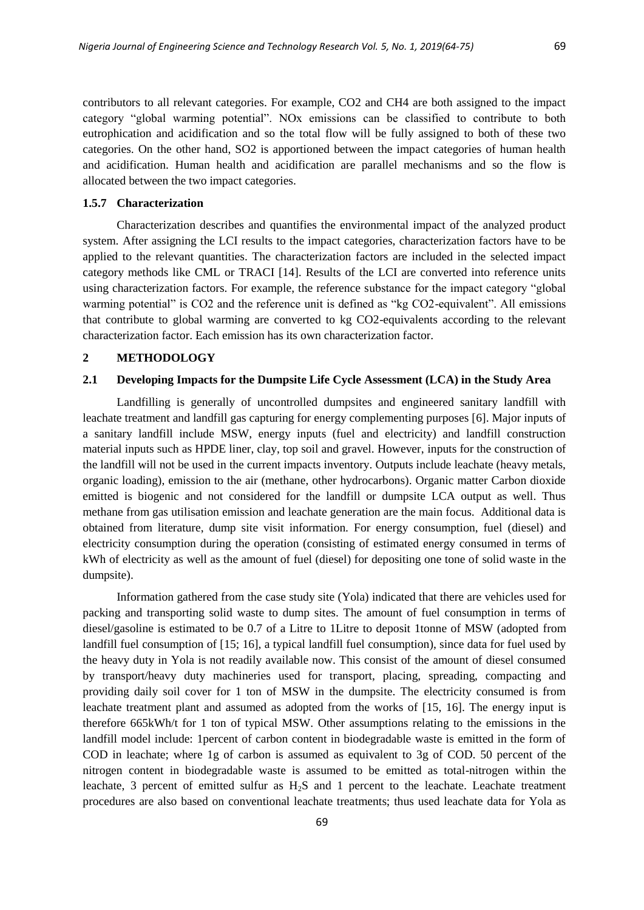contributors to all relevant categories. For example, CO2 and CH4 are both assigned to the impact category "global warming potential". NOx emissions can be classified to contribute to both eutrophication and acidification and so the total flow will be fully assigned to both of these two categories. On the other hand, SO2 is apportioned between the impact categories of human health and acidification. Human health and acidification are parallel mechanisms and so the flow is allocated between the two impact categories.

#### **1.5.7 Characterization**

Characterization describes and quantifies the environmental impact of the analyzed product system. After assigning the LCI results to the impact categories, characterization factors have to be applied to the relevant quantities. The characterization factors are included in the selected impact category methods like CML or TRACI [14]. Results of the LCI are converted into reference units using characterization factors. For example, the reference substance for the impact category "global warming potential" is CO2 and the reference unit is defined as "kg CO2-equivalent". All emissions that contribute to global warming are converted to kg CO2-equivalents according to the relevant characterization factor. Each emission has its own characterization factor.

## **2 METHODOLOGY**

## **2.1 Developing Impacts for the Dumpsite Life Cycle Assessment (LCA) in the Study Area**

Landfilling is generally of uncontrolled dumpsites and engineered sanitary landfill with leachate treatment and landfill gas capturing for energy complementing purposes [6]. Major inputs of a sanitary landfill include MSW, energy inputs (fuel and electricity) and landfill construction material inputs such as HPDE liner, clay, top soil and gravel. However, inputs for the construction of the landfill will not be used in the current impacts inventory. Outputs include leachate (heavy metals, organic loading), emission to the air (methane, other hydrocarbons). Organic matter Carbon dioxide emitted is biogenic and not considered for the landfill or dumpsite LCA output as well. Thus methane from gas utilisation emission and leachate generation are the main focus. Additional data is obtained from literature, dump site visit information. For energy consumption, fuel (diesel) and electricity consumption during the operation (consisting of estimated energy consumed in terms of kWh of electricity as well as the amount of fuel (diesel) for depositing one tone of solid waste in the dumpsite).

Information gathered from the case study site (Yola) indicated that there are vehicles used for packing and transporting solid waste to dump sites. The amount of fuel consumption in terms of diesel/gasoline is estimated to be 0.7 of a Litre to 1Litre to deposit 1tonne of MSW (adopted from landfill fuel consumption of [15; 16], a typical landfill fuel consumption), since data for fuel used by the heavy duty in Yola is not readily available now. This consist of the amount of diesel consumed by transport/heavy duty machineries used for transport, placing, spreading, compacting and providing daily soil cover for 1 ton of MSW in the dumpsite. The electricity consumed is from leachate treatment plant and assumed as adopted from the works of [15, 16]. The energy input is therefore 665kWh/t for 1 ton of typical MSW. Other assumptions relating to the emissions in the landfill model include: 1percent of carbon content in biodegradable waste is emitted in the form of COD in leachate; where 1g of carbon is assumed as equivalent to 3g of COD. 50 percent of the nitrogen content in biodegradable waste is assumed to be emitted as total-nitrogen within the leachate, 3 percent of emitted sulfur as  $H_2S$  and 1 percent to the leachate. Leachate treatment procedures are also based on conventional leachate treatments; thus used leachate data for Yola as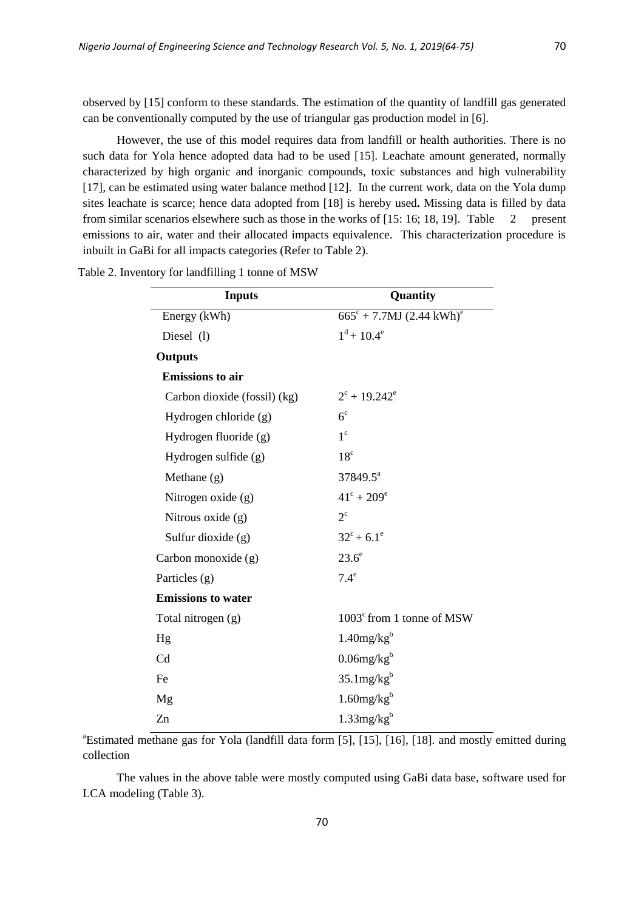observed by [15] conform to these standards. The estimation of the quantity of landfill gas generated can be conventionally computed by the use of triangular gas production model in [6].

However, the use of this model requires data from landfill or health authorities. There is no such data for Yola hence adopted data had to be used [15]. Leachate amount generated, normally characterized by high organic and inorganic compounds, toxic substances and high vulnerability [17], can be estimated using water balance method [12]. In the current work, data on the Yola dump sites leachate is scarce; hence data adopted from [18] is hereby used**.** Missing data is filled by data from similar scenarios elsewhere such as those in the works of [15: 16; 18, 19]. Table 2 present emissions to air, water and their allocated impacts equivalence. This characterization procedure is inbuilt in GaBi for all impacts categories (Refer to Table 2).

| <b>Inputs</b>                | Quantity                                         |  |  |
|------------------------------|--------------------------------------------------|--|--|
| Energy (kWh)                 | $665^{\circ} + 7.7MJ (2.44 \text{ kWh})^{\circ}$ |  |  |
| Diesel (1)                   | $1^d$ + 10.4 <sup>e</sup>                        |  |  |
| <b>Outputs</b>               |                                                  |  |  |
| <b>Emissions</b> to air      |                                                  |  |  |
| Carbon dioxide (fossil) (kg) | $2^{\circ}$ + 19.242 <sup>e</sup>                |  |  |
| Hydrogen chloride (g)        | 6 <sup>c</sup>                                   |  |  |
| Hydrogen fluoride (g)        | $1^{\circ}$                                      |  |  |
| Hydrogen sulfide (g)         | 18 <sup>c</sup>                                  |  |  |
| Methane (g)                  | 37849.5 <sup>a</sup>                             |  |  |
| Nitrogen oxide (g)           | $41^{\circ} + 209^{\circ}$                       |  |  |
| Nitrous oxide $(g)$          | $2^{\circ}$                                      |  |  |
| Sulfur dioxide (g)           | $32^{\circ}$ + 6.1 <sup>e</sup>                  |  |  |
| Carbon monoxide (g)          | $23.6^\circ$                                     |  |  |
| Particles (g)                | $7.4^\mathrm{e}$                                 |  |  |
| <b>Emissions to water</b>    |                                                  |  |  |
| Total nitrogen (g)           | $1003^{\circ}$ from 1 tonne of MSW               |  |  |
| Hg                           | $1.40$ mg/ $kgb$                                 |  |  |
| Cd                           | $0.06$ mg/ $kgb$                                 |  |  |
| Fe                           | $35.1$ mg/ $kgb$                                 |  |  |
| Mg                           | $1.60$ mg/kg <sup>b</sup>                        |  |  |
| Zn                           | $1.33$ mg/kg <sup>b</sup>                        |  |  |

Table 2. Inventory for landfilling 1 tonne of MSW

<sup>a</sup>Estimated methane gas for Yola (landfill data form [5], [15], [16], [18]. and mostly emitted during collection

The values in the above table were mostly computed using GaBi data base, software used for LCA modeling (Table 3).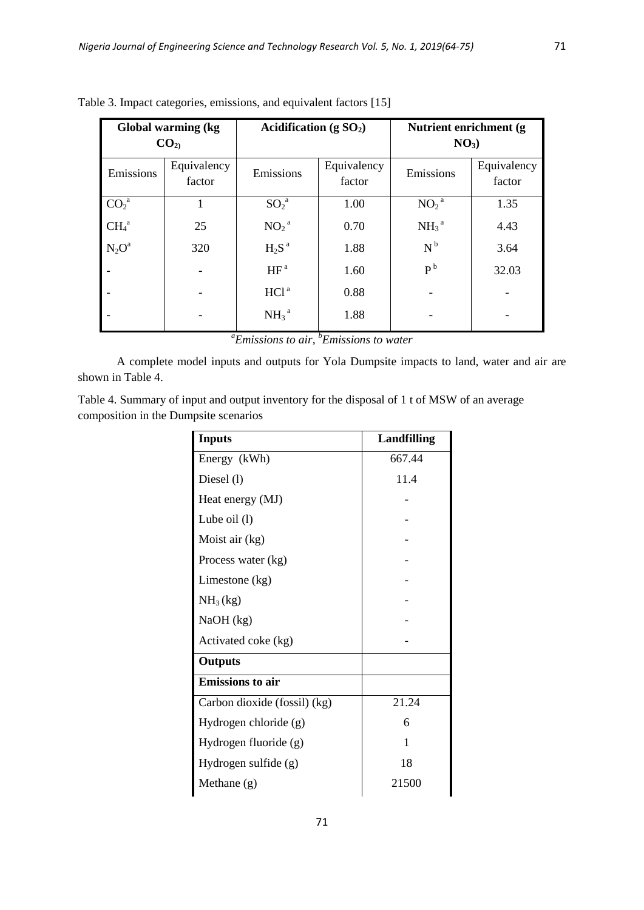|                                 | Global warming (kg)<br>Acidification (g $SO_2$ )<br>CO <sub>2</sub> |                     | Nutrient enrichment (g)<br>$NO3$ ) |                              |                       |
|---------------------------------|---------------------------------------------------------------------|---------------------|------------------------------------|------------------------------|-----------------------|
| Emissions                       | Equivalency<br>factor                                               | Emissions           | Equivalency<br>factor              | Emissions                    | Equivalency<br>factor |
| $\overline{{\rm CO}_2}^{\rm a}$ |                                                                     | $\mathrm{SO}_2{}^a$ | 1.00                               | NO <sub>2</sub> <sup>a</sup> | 1.35                  |
| CH <sub>4</sub> <sup>a</sup>    | 25                                                                  | $NO_2^{\ a}$        | 0.70                               | $NH_3$ <sup>a</sup>          | 4.43                  |
| $N_2O^a$                        | 320                                                                 | $H_2S^a$            | 1.88                               | $N^b$                        | 3.64                  |
|                                 |                                                                     | HF <sup>a</sup>     | 1.60                               | P <sup>b</sup>               | 32.03                 |
|                                 |                                                                     | HCl <sup>a</sup>    | 0.88                               |                              |                       |
|                                 |                                                                     | $NH_3^a$            | 1.88                               |                              |                       |

Table 3. Impact categories, emissions, and equivalent factors [15]

*<sup>a</sup>Emissions to air, <sup>b</sup>Emissions to water*

A complete model inputs and outputs for Yola Dumpsite impacts to land, water and air are shown in Table 4.

Table 4. Summary of input and output inventory for the disposal of 1 t of MSW of an average composition in the Dumpsite scenarios

| <b>Inputs</b>                | <b>Landfilling</b> |  |
|------------------------------|--------------------|--|
| Energy (kWh)                 | 667.44             |  |
| Diesel (1)                   | 11.4               |  |
| Heat energy (MJ)             |                    |  |
| Lube oil $(l)$               |                    |  |
| Moist air (kg)               |                    |  |
| Process water (kg)           |                    |  |
| Limestone (kg)               |                    |  |
| NH <sub>3</sub> (kg)         |                    |  |
| NaOH (kg)                    |                    |  |
| Activated coke (kg)          |                    |  |
| Outputs                      |                    |  |
| <b>Emissions</b> to air      |                    |  |
| Carbon dioxide (fossil) (kg) | 21.24              |  |
| Hydrogen chloride (g)        | 6                  |  |
| Hydrogen fluoride (g)        | 1                  |  |
| Hydrogen sulfide (g)         | 18                 |  |
| Methane $(g)$                | 21500              |  |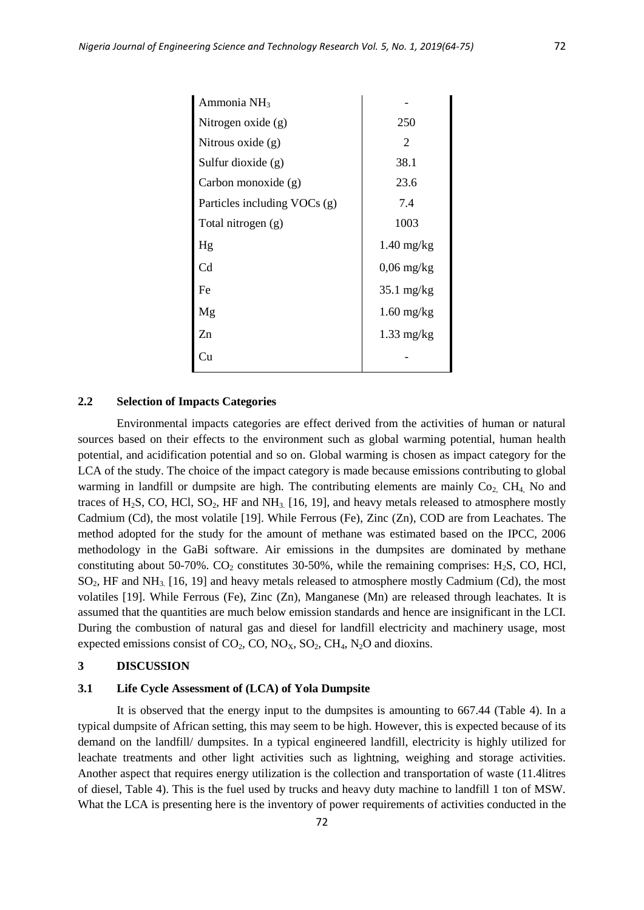| Ammonia NH <sub>3</sub>      |                      |  |
|------------------------------|----------------------|--|
| Nitrogen oxide $(g)$         | 250                  |  |
| Nitrous oxide $(g)$          | 2                    |  |
| Sulfur dioxide (g)           | 38.1                 |  |
| Carbon monoxide (g)          | 23.6                 |  |
| Particles including VOCs (g) | 7.4                  |  |
| Total nitrogen (g)           | 1003                 |  |
| Hg                           | $1.40 \text{ mg/kg}$ |  |
| Cd                           | $0,06$ mg/kg         |  |
| Fe                           | $35.1 \text{ mg/kg}$ |  |
| Mg                           | $1.60 \text{ mg/kg}$ |  |
| $Z_{n}$                      | $1.33 \text{ mg/kg}$ |  |
| Cп                           |                      |  |
|                              |                      |  |

## **2.2 Selection of Impacts Categories**

Environmental impacts categories are effect derived from the activities of human or natural sources based on their effects to the environment such as global warming potential, human health potential, and acidification potential and so on. Global warming is chosen as impact category for the LCA of the study. The choice of the impact category is made because emissions contributing to global warming in landfill or dumpsite are high. The contributing elements are mainly  $Co<sub>2</sub>CH<sub>4</sub>$  No and traces of H<sub>2</sub>S, CO, HCl, SO<sub>2</sub>, HF and NH<sub>3</sub> [16, 19], and heavy metals released to atmosphere mostly Cadmium (Cd), the most volatile [19]. While Ferrous (Fe), Zinc (Zn), COD are from Leachates. The method adopted for the study for the amount of methane was estimated based on the IPCC, 2006 methodology in the GaBi software. Air emissions in the dumpsites are dominated by methane constituting about 50-70%. CO<sub>2</sub> constitutes 30-50%, while the remaining comprises: H<sub>2</sub>S, CO, HCl,  $SO<sub>2</sub>$ , HF and NH<sub>3</sub> [16, 19] and heavy metals released to atmosphere mostly Cadmium (Cd), the most volatiles [19]. While Ferrous (Fe), Zinc (Zn), Manganese (Mn) are released through leachates. It is assumed that the quantities are much below emission standards and hence are insignificant in the LCI. During the combustion of natural gas and diesel for landfill electricity and machinery usage, most expected emissions consist of  $CO_2$ ,  $CO$ ,  $NO_X$ ,  $SO_2$ ,  $CH_4$ ,  $N_2O$  and dioxins.

## **3 DISCUSSION**

#### **3.1 Life Cycle Assessment of (LCA) of Yola Dumpsite**

It is observed that the energy input to the dumpsites is amounting to 667.44 (Table 4). In a typical dumpsite of African setting, this may seem to be high. However, this is expected because of its demand on the landfill/ dumpsites. In a typical engineered landfill, electricity is highly utilized for leachate treatments and other light activities such as lightning, weighing and storage activities. Another aspect that requires energy utilization is the collection and transportation of waste (11.4litres of diesel, Table 4). This is the fuel used by trucks and heavy duty machine to landfill 1 ton of MSW. What the LCA is presenting here is the inventory of power requirements of activities conducted in the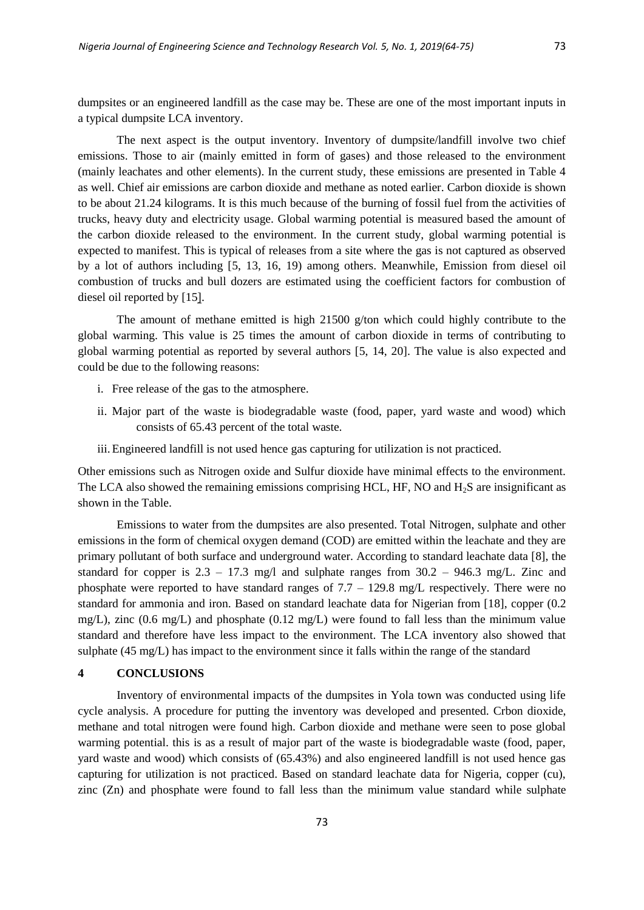dumpsites or an engineered landfill as the case may be. These are one of the most important inputs in a typical dumpsite LCA inventory.

The next aspect is the output inventory. Inventory of dumpsite/landfill involve two chief emissions. Those to air (mainly emitted in form of gases) and those released to the environment (mainly leachates and other elements). In the current study, these emissions are presented in Table 4 as well. Chief air emissions are carbon dioxide and methane as noted earlier. Carbon dioxide is shown to be about 21.24 kilograms. It is this much because of the burning of fossil fuel from the activities of trucks, heavy duty and electricity usage. Global warming potential is measured based the amount of the carbon dioxide released to the environment. In the current study, global warming potential is expected to manifest. This is typical of releases from a site where the gas is not captured as observed by a lot of authors including [5, 13, 16, 19) among others. Meanwhile, Emission from diesel oil combustion of trucks and bull dozers are estimated using the coefficient factors for combustion of diesel oil reported by [15].

The amount of methane emitted is high 21500 g/ton which could highly contribute to the global warming. This value is 25 times the amount of carbon dioxide in terms of contributing to global warming potential as reported by several authors [5, 14, 20]. The value is also expected and could be due to the following reasons:

- i. Free release of the gas to the atmosphere.
- ii. Major part of the waste is biodegradable waste (food, paper, yard waste and wood) which consists of 65.43 percent of the total waste.
- iii.Engineered landfill is not used hence gas capturing for utilization is not practiced.

Other emissions such as Nitrogen oxide and Sulfur dioxide have minimal effects to the environment. The LCA also showed the remaining emissions comprising HCL, HF, NO and  $H_2S$  are insignificant as shown in the Table.

Emissions to water from the dumpsites are also presented. Total Nitrogen, sulphate and other emissions in the form of chemical oxygen demand (COD) are emitted within the leachate and they are primary pollutant of both surface and underground water. According to standard leachate data [8], the standard for copper is  $2.3 - 17.3$  mg/l and sulphate ranges from  $30.2 - 946.3$  mg/L. Zinc and phosphate were reported to have standard ranges of  $7.7 - 129.8$  mg/L respectively. There were no standard for ammonia and iron. Based on standard leachate data for Nigerian from [18], copper (0.2 mg/L), zinc (0.6 mg/L) and phosphate (0.12 mg/L) were found to fall less than the minimum value standard and therefore have less impact to the environment. The LCA inventory also showed that sulphate (45 mg/L) has impact to the environment since it falls within the range of the standard

## **4 CONCLUSIONS**

Inventory of environmental impacts of the dumpsites in Yola town was conducted using life cycle analysis. A procedure for putting the inventory was developed and presented. Crbon dioxide, methane and total nitrogen were found high. Carbon dioxide and methane were seen to pose global warming potential. this is as a result of major part of the waste is biodegradable waste (food, paper, yard waste and wood) which consists of (65.43%) and also engineered landfill is not used hence gas capturing for utilization is not practiced. Based on standard leachate data for Nigeria, copper (cu), zinc (Zn) and phosphate were found to fall less than the minimum value standard while sulphate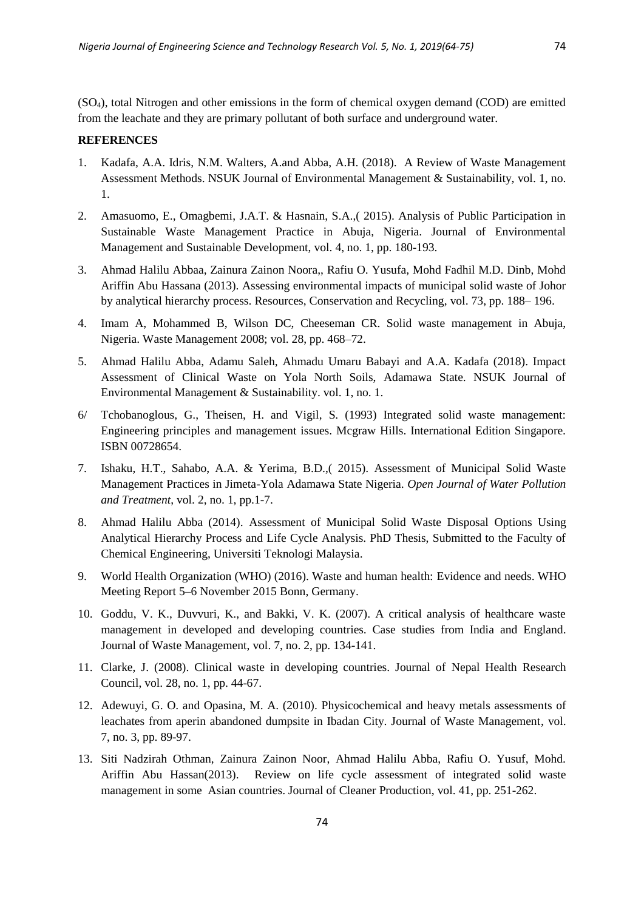(SO4), total Nitrogen and other emissions in the form of chemical oxygen demand (COD) are emitted from the leachate and they are primary pollutant of both surface and underground water.

## **REFERENCES**

- 1. Kadafa, A.A. Idris, N.M. Walters, A.and Abba, A.H. (2018). A Review of Waste Management Assessment Methods. NSUK Journal of Environmental Management & Sustainability, vol. 1, no. 1.
- 2. Amasuomo, E., Omagbemi, J.A.T. & Hasnain, S.A.,( 2015). Analysis of Public Participation in Sustainable Waste Management Practice in Abuja, Nigeria. Journal of Environmental Management and Sustainable Development, vol. 4, no. 1, pp. 180-193.
- 3. Ahmad Halilu Abbaa, Zainura Zainon Noora,, Rafiu O. Yusufa, Mohd Fadhil M.D. Dinb, Mohd Ariffin Abu Hassana (2013). Assessing environmental impacts of municipal solid waste of Johor by analytical hierarchy process. Resources, Conservation and Recycling, vol. 73, pp. 188– 196.
- 4. Imam A, Mohammed B, Wilson DC, Cheeseman CR. Solid waste management in Abuja, Nigeria. Waste Management 2008; vol. 28, pp. 468–72.
- 5. Ahmad Halilu Abba, Adamu Saleh, Ahmadu Umaru Babayi and A.A. Kadafa (2018). Impact Assessment of Clinical Waste on Yola North Soils, Adamawa State. NSUK Journal of Environmental Management & Sustainability. vol. 1, no. 1.
- 6/ Tchobanoglous, G., Theisen, H. and Vigil, S. (1993) Integrated solid waste management: Engineering principles and management issues. Mcgraw Hills. International Edition Singapore. ISBN 00728654.
- 7. Ishaku, H.T., Sahabo, A.A. & Yerima, B.D.,( 2015). Assessment of Municipal Solid Waste Management Practices in Jimeta-Yola Adamawa State Nigeria. *Open Journal of Water Pollution and Treatment*, vol. 2, no. 1, pp.1-7.
- 8. Ahmad Halilu Abba (2014). Assessment of Municipal Solid Waste Disposal Options Using Analytical Hierarchy Process and Life Cycle Analysis. PhD Thesis, Submitted to the Faculty of Chemical Engineering, Universiti Teknologi Malaysia.
- 9. World Health Organization (WHO) (2016). Waste and human health: Evidence and needs. WHO Meeting Report 5–6 November 2015 Bonn, Germany.
- 10. Goddu, V. K., Duvvuri, K., and Bakki, V. K. (2007). A critical analysis of healthcare waste management in developed and developing countries. Case studies from India and England. Journal of Waste Management, vol. 7, no. 2, pp. 134-141.
- 11. Clarke, J. (2008). Clinical waste in developing countries. Journal of Nepal Health Research Council, vol. 28, no. 1, pp. 44-67.
- 12. Adewuyi, G. O. and Opasina, M. A. (2010). Physicochemical and heavy metals assessments of leachates from aperin abandoned dumpsite in Ibadan City. Journal of Waste Management, vol. 7, no. 3, pp. 89-97.
- 13. Siti Nadzirah Othman, Zainura Zainon Noor, Ahmad Halilu Abba, Rafiu O. Yusuf, Mohd. Ariffin Abu Hassan(2013). Review on life cycle assessment of integrated solid waste management in some Asian countries. Journal of Cleaner Production, vol. 41, pp. 251-262.